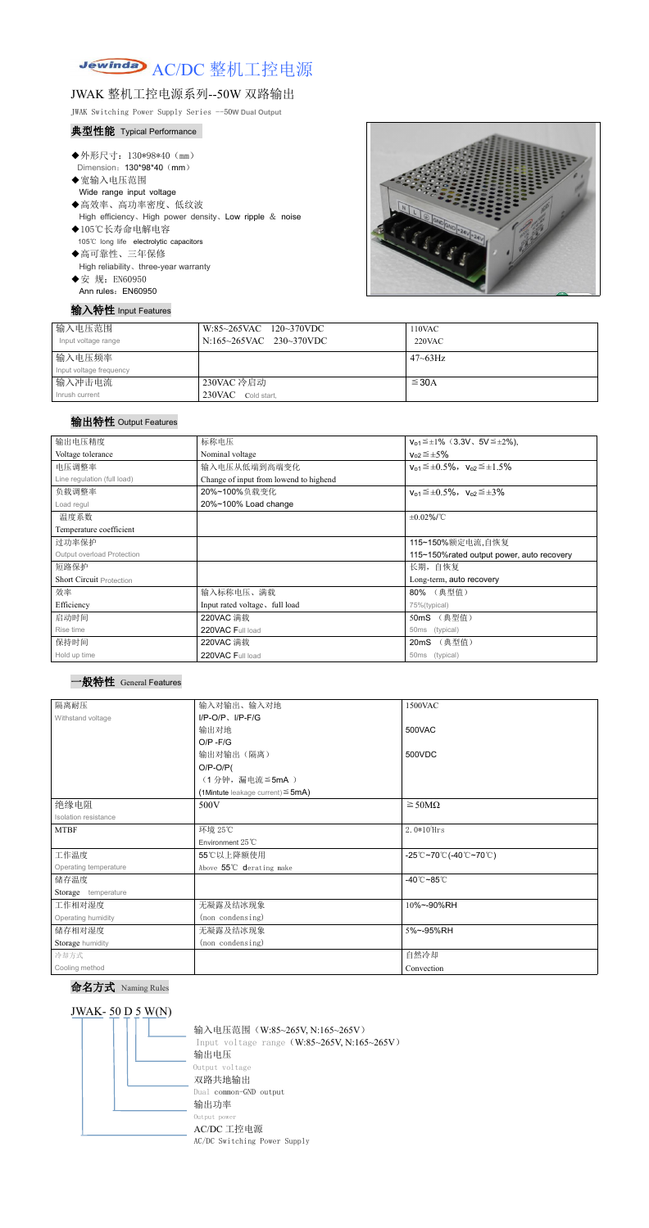

# JWAK 整机工控电源系列--50W 双路输出

JWAK Switching Power Supply Series --50**W Dual Output**

### 典型性能 Typical Performance

- ◆外形尺寸: 130\*98\*40 (mm) Dimension: 130\*98\*40 (mm)
- ◆宽输入电压范围
	- Wide range input voltage
- ◆高效率、高功率密度、低纹波 High efficiency、High power density、Low ripple & noise
- ◆105℃长寿命电解电容 105℃ long life electrolytic capacitors ◆高可靠性、三年保修
- High reliability、three-year warranty
- ◆安 规: EN60950 Ann rules: EN60950

### 输入特性 Input Features



| 输入电压范围<br>Input voltage range | $W:85~265$ VAC $120~370$ VDC<br>N:165~265VAC 230~370VDC | 110VAC<br>$220$ VAC |
|-------------------------------|---------------------------------------------------------|---------------------|
| 输入电压频率                        |                                                         | $47 \sim 63$ Hz     |
| Input voltage frequency       |                                                         |                     |
| 输入冲击电流                        | 230VAC 冷启动                                              | $\leq$ 30A          |
| Inrush current                | 230VAC Cold start,                                      |                     |

### 输出特性 Output Features

#### 一般特性 General Features

# 命名方式 Naming Rules



| 输出电压精度                          | 标称电压                                   | $V_{01} \leq \pm 1\%$ (3.3V, 5V $\leq \pm 2\%$ ), |
|---------------------------------|----------------------------------------|---------------------------------------------------|
| Voltage tolerance               | Nominal voltage                        | $V_{02} \leq \pm 5\%$                             |
| 电压调整率                           | 输入电压从低端到高端变化                           | $v_{o1} \leq \pm 0.5\%$ , $v_{o2} \leq \pm 1.5\%$ |
| Line regulation (full load)     | Change of input from lowend to highend |                                                   |
| 负载调整率                           | 20%~100%负载变化                           | $v_{o1} \leq \pm 0.5\%$ , $v_{o2} \leq \pm 3\%$   |
| Load regul                      | 20%~100% Load change                   |                                                   |
| 温度系数                            |                                        | $±0.02\%$ /°C                                     |
| Temperature coefficient         |                                        |                                                   |
| 过功率保护                           |                                        | 115~150%额定电流,自恢复                                  |
| Output overload Protection      |                                        | 115~150% rated output power, auto recovery        |
| 短路保护                            |                                        | 长期, 自恢复                                           |
| <b>Short Circuit Protection</b> |                                        | Long-term, auto recovery                          |
| 效率                              | 输入标称电压、满载                              | 80% (典型值)                                         |
| Efficiency                      | Input rated voltage, full load         | 75%(typical)                                      |
| 启动时间                            | 220VAC 满载                              | 50mS (典型值)                                        |
| Rise time                       | 220VAC Full load                       | 50ms (typical)                                    |
| 保持时间                            | 220VAC 满载                              | 20mS (典型值)                                        |
| Hold up time                    | 220VAC Full load                       | 50ms (typical)                                    |
|                                 |                                        |                                                   |

| 隔离耐压                  | 输入对输出、输入对地                             | 1500VAC                                                                                       |
|-----------------------|----------------------------------------|-----------------------------------------------------------------------------------------------|
| Withstand voltage     | $I/P$ -O/P, $I/P$ -F/G                 |                                                                                               |
|                       | 输出对地                                   | 500VAC                                                                                        |
|                       | $O/P - F/G$                            |                                                                                               |
|                       | 输出对输出(隔离)                              | 500VDC                                                                                        |
|                       | $O/P-O/P($                             |                                                                                               |
|                       | (1分钟,漏电流≦5mA)                          |                                                                                               |
|                       | (1Mintute leakage current) $\leq$ 5mA) |                                                                                               |
| 绝缘电阻                  | 500V                                   | $\geq$ 50M $\Omega$                                                                           |
| Isolation resistance  |                                        |                                                                                               |
| <b>MTBF</b>           | 环境 25℃                                 | $2.0*105$ Hrs                                                                                 |
|                       | Environment $25^{\circ}$ C             |                                                                                               |
| 工作温度                  | 55℃以上降额使用                              | $-25^{\circ}\text{C}$ ~70 $^{\circ}\text{C}$ (-40 $^{\circ}\text{C}$ ~70 $^{\circ}\text{C}$ ) |
| Operating temperature | Above 55°C derating make               |                                                                                               |
| 储存温度                  |                                        | $-40^{\circ}$ C $-85^{\circ}$ C                                                               |
| Storage temperature   |                                        |                                                                                               |
| 工作相对湿度                | 无凝露及结冰现象                               | 10%~-90%RH                                                                                    |
| Operating humidity    | (non condensing)                       |                                                                                               |
| 储存相对湿度                | 无凝露及结冰现象                               | 5%~-95%RH                                                                                     |
| Storage humidity      | (non condensing)                       |                                                                                               |
| 冷却方式                  |                                        | 自然冷却                                                                                          |
| Cooling method        |                                        | Convection                                                                                    |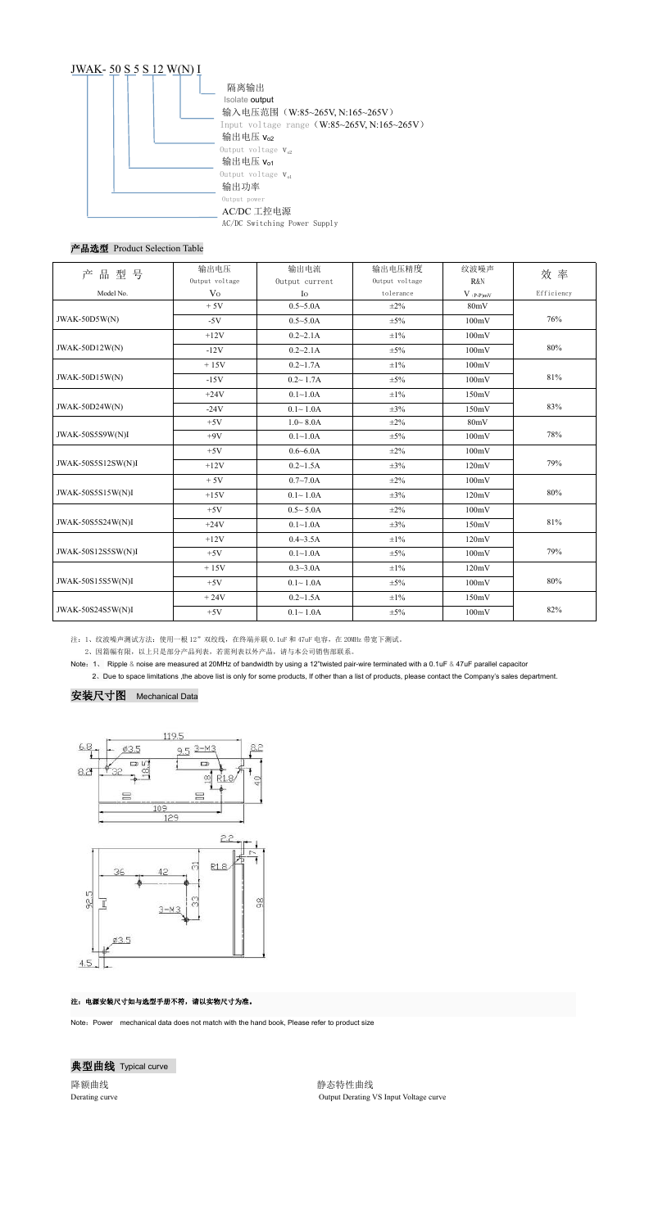

## 产品选型 Product Selection Table

2、因篇幅有限,以上只是部分产品列表,若需列表以外产品,请与本公司销售部联系。

降额曲线 医单位性白细胞 医单位性白细胞 医心包性白细胞 医神经性白细胞 Derating curve Output Derating VS Input Voltage curve

Note:1、 Ripple & noise are measured at 20MHz of bandwidth by using a 12"twisted pair-wire terminated with a 0.1uF & 47uF parallel capacitor 2、Due to space limitations ,the above list is only for some products, If other than a list of products, please contact the Company's sales department.

#### 安装尺寸图 Mechanical Data



#### 注:电源安装尺寸如与选型手册不符,请以实物尺寸为准。

Note: Power mechanical data does not match with the hand book, Please refer to product size



| 产品型号                  | 输出电压           | 输出电流             | 输出电压精度         | 纹波噪声           | 效率         |
|-----------------------|----------------|------------------|----------------|----------------|------------|
|                       | Output voltage | Output current   | Output voltage | <b>R&amp;N</b> |            |
| Model No.             | V <sub>O</sub> | $I_{\rm O}$      | tolerance      | $V_{(P-P)mV}$  | Efficiency |
|                       | $+5V$          | $0.5 - 5.0A$     | $\pm 2\%$      | 80mV           |            |
| JWAK-50D5W(N)         | $-5V$          | $0.5 - 5.0A$     | $\pm 5\%$      | 100mV          | 76%        |
|                       | $+12V$         | $0.2 - 2.1A$     | $\pm 1\%$      | 100mV          |            |
| <b>JWAK-50D12W(N)</b> | $-12V$         | $0.2 - 2.1A$     | $\pm 5\%$      | 100mV          | 80%        |
|                       | $+15V$         | $0.2 \sim 1.7$ A | $\pm 1\%$      | 100mV          |            |
| $JWAK-50D15W(N)$      | $-15V$         | $0.2 \sim 1.7$ A | $\pm 5\%$      | 100mV          | 81%        |
|                       | $+24V$         | $0.1 - 1.0A$     | $\pm 1\%$      | 150mV          |            |
| JWAK-50D24W(N)        | $-24V$         | $0.1 - 1.0A$     | $\pm 3\%$      | 150mV          | 83%        |
|                       | $+5V$          | $1.0 - 8.0A$     | $\pm 2\%$      | 80mV           |            |
| JWAK-50S5S9W(N)I      | $+9V$          | $0.1 - 1.0A$     | $\pm 5\%$      | 100mV          | 78%        |
|                       | $+5V$          | $0.6 - 6.0A$     | $\pm 2\%$      | 100mV          |            |
| JWAK-50S5S12SW(N)I    | $+12V$         | $0.2 \sim 1.5$ A | $\pm 3\%$      | 120mV          | 79%        |
|                       | $+5V$          | $0.7 - 7.0A$     | $\pm 2\%$      | 100mV          |            |
| JWAK-50S5S15W(N)I     | $+15V$         | $0.1 - 1.0A$     | $\pm 3\%$      | 120mV          | 80%        |
|                       | $+5V$          | $0.5 - 5.0A$     | $\pm 2\%$      | 100mV          |            |
| JWAK-50S5S24W(N)I     | $+24V$         | $0.1 - 1.0A$     | $\pm 3\%$      | 150mV          | 81%        |
|                       | $+12V$         | $0.4 - 3.5A$     | $\pm 1\%$      | 120mV          |            |
| JWAK-50S12S5SW(N)I    | $+5V$          | $0.1 - 1.0A$     | $\pm 5\%$      | 100mV          | 79%        |
|                       | $+15V$         | $0.3 - 3.0A$     | $\pm 1\%$      | 120mV          |            |
| JWAK-50S15S5W(N)I     | $+5V$          | $0.1 - 1.0A$     | $\pm 5\%$      | 100mV          | $80\%$     |
|                       | $+24V$         | $0.2 \sim 1.5$ A | $\pm 1\%$      | 150mV          |            |
| JWAK-50S24S5W(N)I     | $+5V$          | $0.1 - 1.0A$     | $\pm 5\%$      | 100mV          | 82%        |

注: 1、纹波噪声测试方法: 使用一根 12"双绞线, 在终端并联 0.1uF 和 47uF 电容, 在 20MHz 带宽下测试。